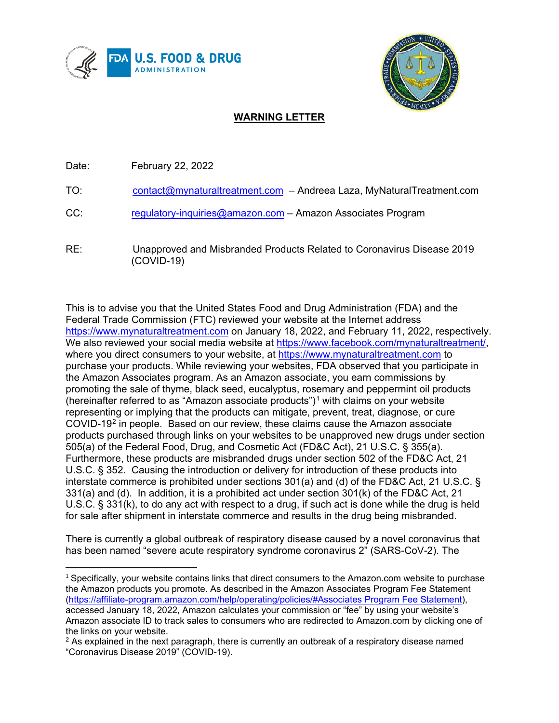



## **WARNING LETTER**

Date: February 22, 2022

- TO: [contact@mynaturaltreatment.com](mailto:contact@mynaturaltreatment.com) Andreea Laza, MyNaturalTreatment.com
- CC: [regulatory-inquiries@amazon.com](mailto:regulatory-inquiries@amazon.com) Amazon Associates Program
- RE: Unapproved and Misbranded Products Related to Coronavirus Disease 2019 (COVID-19)

This is to advise you that the United States Food and Drug Administration (FDA) and the Federal Trade Commission (FTC) reviewed your website at the Internet address [https://www.mynaturaltreatment.com](https://www.mynaturaltreatment.com/) on January 18, 2022, and February 11, 2022, respectively. We also reviewed your social media website at [https://www.facebook.com/mynaturaltreatment/,](https://www.facebook.com/mynaturaltreatment/) where you direct consumers to your website, at [https://www.mynaturaltreatment.com](https://www.mynaturaltreatment.com/) to purchase your products. While reviewing your websites, FDA observed that you participate in the Amazon Associates program. As an Amazon associate, you earn commissions by promoting the sale of thyme, black seed, eucalyptus, rosemary and peppermint oil products (hereinafter referred to as "Amazon associate products") $\frac{1}{1}$  $\frac{1}{1}$  $\frac{1}{1}$  with claims on your website representing or implying that the products can mitigate, prevent, treat, diagnose, or cure COVID-19[2](#page-0-1) in people. Based on our review, these claims cause the Amazon associate products purchased through links on your websites to be unapproved new drugs under section 505(a) of the Federal Food, Drug, and Cosmetic Act (FD&C Act), 21 U.S.C. § 355(a). Furthermore, these products are misbranded drugs under section 502 of the FD&C Act, 21 U.S.C. § 352. Causing the introduction or delivery for introduction of these products into interstate commerce is prohibited under sections 301(a) and (d) of the FD&C Act, 21 U.S.C. § 331(a) and (d). In addition, it is a prohibited act under section 301(k) of the FD&C Act, 21 U.S.C. § 331(k), to do any act with respect to a drug, if such act is done while the drug is held for sale after shipment in interstate commerce and results in the drug being misbranded.

There is currently a global outbreak of respiratory disease caused by a novel coronavirus that has been named "severe acute respiratory syndrome coronavirus 2" (SARS-CoV-2). The

<span id="page-0-0"></span> $1$  Specifically, your website contains links that direct consumers to the Amazon.com website to purchase the Amazon products you promote. As described in the Amazon Associates Program Fee Statement [\(https://affiliate-program.amazon.com/help/operating/policies/#Associates Program Fee Statement\)](https://affiliate-program.amazon.com/help/operating/policies/#Associates%20Program%20Fee%20Statement), accessed January 18, 2022, Amazon calculates your commission or "fee" by using your website's Amazon associate ID to track sales to consumers who are redirected to Amazon.com by clicking one of the links on your website.

<span id="page-0-1"></span> $<sup>2</sup>$  As explained in the next paragraph, there is currently an outbreak of a respiratory disease named</sup> "Coronavirus Disease 2019" (COVID-19).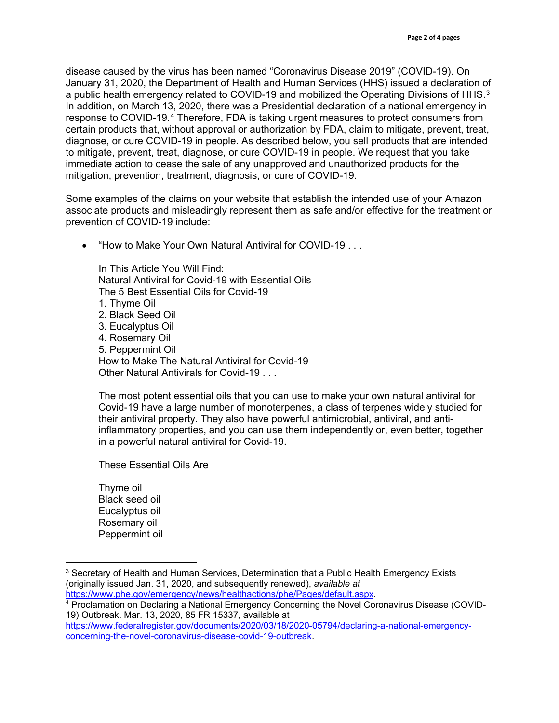disease caused by the virus has been named "Coronavirus Disease 2019" (COVID-19). On January 31, 2020, the Department of Health and Human Services (HHS) issued a declaration of a public health emergency related to COVID-19 and mobilized the Operating Divisions of HHS.<sup>[3](#page-1-0)</sup> In addition, on March 13, 2020, there was a Presidential declaration of a national emergency in response to COVID-19.[4](#page-1-1) Therefore, FDA is taking urgent measures to protect consumers from certain products that, without approval or authorization by FDA, claim to mitigate, prevent, treat, diagnose, or cure COVID-19 in people. As described below, you sell products that are intended to mitigate, prevent, treat, diagnose, or cure COVID-19 in people. We request that you take immediate action to cease the sale of any unapproved and unauthorized products for the mitigation, prevention, treatment, diagnosis, or cure of COVID-19.

Some examples of the claims on your website that establish the intended use of your Amazon associate products and misleadingly represent them as safe and/or effective for the treatment or prevention of COVID-19 include:

• "How to Make Your Own Natural Antiviral for COVID-19 . . .

In This Article You Will Find: Natural Antiviral for Covid-19 with Essential Oils The 5 Best Essential Oils for Covid-19 1. Thyme Oil 2. Black Seed Oil 3. Eucalyptus Oil 4. Rosemary Oil 5. Peppermint Oil How to Make The Natural Antiviral for Covid-19 Other Natural Antivirals for Covid-19 . . .

The most potent essential oils that you can use to make your own natural antiviral for Covid-19 have a large number of monoterpenes, a class of terpenes widely studied for their antiviral property. They also have powerful antimicrobial, antiviral, and antiinflammatory properties, and you can use them independently or, even better, together in a powerful natural antiviral for Covid-19.

These Essential Oils Are

Thyme oil Black seed oil Eucalyptus oil Rosemary oil Peppermint oil

<span id="page-1-0"></span><sup>&</sup>lt;sup>3</sup> Secretary of Health and Human Services, Determination that a Public Health Emergency Exists (originally issued Jan. 31, 2020, and subsequently renewed), *available at* [https://www.phe.gov/emergency/news/healthactions/phe/Pages/default.aspx.](https://www.phe.gov/emergency/news/healthactions/phe/Pages/default.aspx)

<span id="page-1-1"></span><sup>&</sup>lt;sup>4</sup> Proclamation on Declaring a National Emergency Concerning the Novel Coronavirus Disease (COVID-19) Outbreak. Mar. 13, 2020, 85 FR 15337, available at

[https://www.federalregister.gov/documents/2020/03/18/2020-05794/declaring-a-national-emergency](https://www.federalregister.gov/documents/2020/03/18/2020-05794/declaring-a-national-emergency-concerning-the-novel-coronavirus-disease-covid-19-outbreak)[concerning-the-novel-coronavirus-disease-covid-19-outbreak.](https://www.federalregister.gov/documents/2020/03/18/2020-05794/declaring-a-national-emergency-concerning-the-novel-coronavirus-disease-covid-19-outbreak)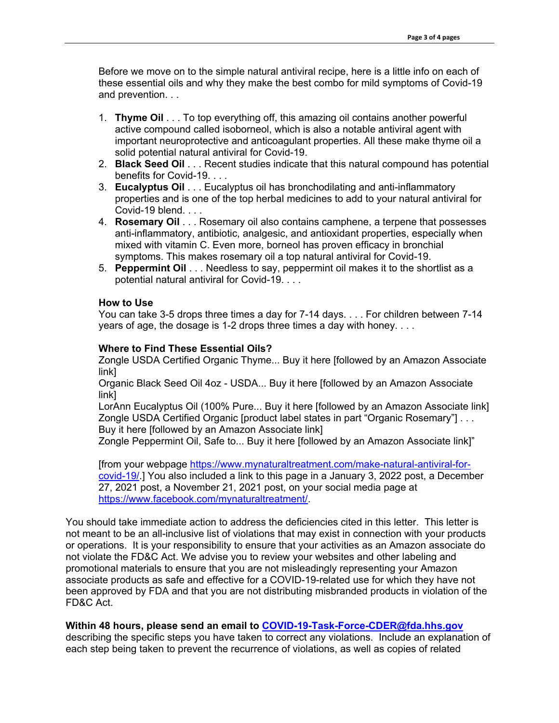Before we move on to the simple natural antiviral recipe, here is a little info on each of these essential oils and why they make the best combo for mild symptoms of Covid-19 and prevention. . .

- 1. **Thyme Oil** . . . To top everything off, this amazing oil contains another powerful active compound called isoborneol, which is also a notable antiviral agent with important neuroprotective and anticoagulant properties. All these make thyme oil a solid potential natural antiviral for Covid-19.
- 2. **Black Seed Oil** . . . Recent studies indicate that this natural compound has potential benefits for Covid-19. . . .
- 3. **Eucalyptus Oil** . . . Eucalyptus oil has bronchodilating and anti-inflammatory properties and is one of the top herbal medicines to add to your natural antiviral for Covid-19 blend. . . .
- 4. **Rosemary Oil** . . . Rosemary oil also contains camphene, a terpene that possesses anti-inflammatory, antibiotic, analgesic, and antioxidant properties, especially when mixed with vitamin C. Even more, borneol has proven efficacy in bronchial symptoms. This makes rosemary oil a top natural antiviral for Covid-19.
- 5. **Peppermint Oil** . . . Needless to say, peppermint oil makes it to the shortlist as a potential natural antiviral for Covid-19. . . .

## **How to Use**

You can take 3-5 drops three times a day for 7-14 days. . . . For children between 7-14 years of age, the dosage is 1-2 drops three times a day with honey. . . .

## **Where to Find These Essential Oils?**

Zongle USDA Certified Organic Thyme... Buy it here [followed by an Amazon Associate link]

Organic Black Seed Oil 4oz - USDA... Buy it here [followed by an Amazon Associate link]

LorAnn Eucalyptus Oil (100% Pure... Buy it here [followed by an Amazon Associate link] Zongle USDA Certified Organic [product label states in part "Organic Rosemary"] . . . Buy it here [followed by an Amazon Associate link]

Zongle Peppermint Oil, Safe to... Buy it here [followed by an Amazon Associate link]"

[from your webpage [https://www.mynaturaltreatment.com/make-natural-antiviral-for](https://www.mynaturaltreatment.com/make-natural-antiviral-for-covid-19/)[covid-19/.](https://www.mynaturaltreatment.com/make-natural-antiviral-for-covid-19/)] You also included a link to this page in a January 3, 2022 post, a December 27, 2021 post, a November 21, 2021 post, on your social media page at [https://www.facebook.com/mynaturaltreatment/.](https://www.facebook.com/mynaturaltreatment/)

You should take immediate action to address the deficiencies cited in this letter. This letter is not meant to be an all-inclusive list of violations that may exist in connection with your products or operations. It is your responsibility to ensure that your activities as an Amazon associate do not violate the FD&C Act. We advise you to review your websites and other labeling and promotional materials to ensure that you are not misleadingly representing your Amazon associate products as safe and effective for a COVID-19-related use for which they have not been approved by FDA and that you are not distributing misbranded products in violation of the FD&C Act.

## **Within 48 hours, please send an email to [COVID-19-Task-Force-CDER@fda.hhs.gov](mailto:COVID-19-Task-Force-CDER@fda.hhs.gov)**

describing the specific steps you have taken to correct any violations. Include an explanation of each step being taken to prevent the recurrence of violations, as well as copies of related